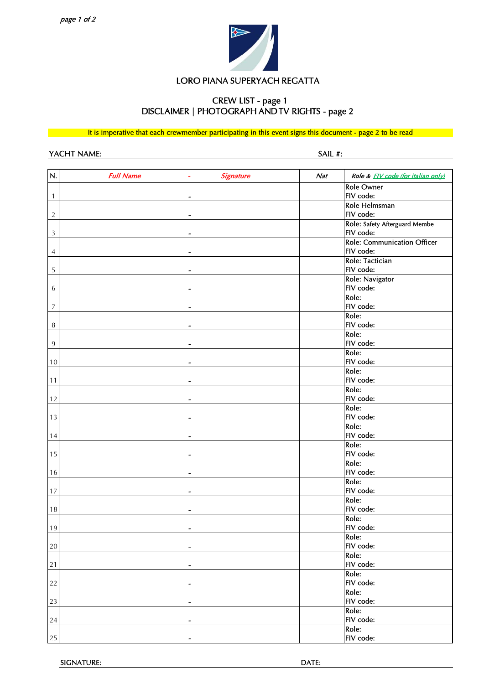

# LORO PIANA SUPERYACH REGATTA

## CREW LIST - page 1 DISCLAIMER | PHOTOGRAPH AND TV RIGHTS - page 2

It is imperative that each crewmember participating in this event signs this document - page 2 to be read

YACHT NAME: SAIL #:

| N.             | <b>Full Name</b>             | Signature | Nat | Role & FIV code (for italian only) |
|----------------|------------------------------|-----------|-----|------------------------------------|
|                |                              |           |     | <b>Role Owner</b>                  |
| 1              | $\qquad \qquad \blacksquare$ |           |     | FIV code:                          |
|                |                              |           |     | Role Helmsman                      |
| $\overline{2}$ |                              |           |     | FIV code:                          |
|                |                              |           |     | Role: Safety Afterguard Membe      |
| 3              |                              |           |     | FIV code:                          |
|                |                              |           |     | Role: Communication Officer        |
| 4              | ۰                            |           |     | FIV code:                          |
|                |                              |           |     | Role: Tactician<br>FIV code:       |
| 5              | $\overline{\phantom{0}}$     |           |     |                                    |
|                |                              |           |     | Role: Navigator<br>FIV code:       |
| 6              |                              |           |     | Role:                              |
| $\overline{7}$ |                              |           |     | FIV code:                          |
|                |                              |           |     | Role:                              |
| 8              |                              |           |     | FIV code:                          |
|                |                              |           |     | Role:                              |
| $\overline{9}$ |                              |           |     | FIV code:                          |
|                |                              |           |     | Role:                              |
| 10             |                              |           |     | FIV code:                          |
|                |                              |           |     | Role:                              |
| 11             |                              |           |     | FIV code:                          |
|                |                              |           |     | Role:                              |
| 12             | $\overline{\phantom{0}}$     |           |     | FIV code:                          |
|                |                              |           |     | Role:                              |
| 13             |                              |           |     | FIV code:                          |
|                |                              |           |     | Role:                              |
| 14             | $\overline{a}$               |           |     | FIV code:                          |
|                |                              |           |     | Role:                              |
| 15             |                              |           |     | FIV code:                          |
|                |                              |           |     | Role:                              |
| 16             |                              |           |     | FIV code:                          |
|                |                              |           |     | Role:<br>FIV code:                 |
| 17             |                              |           |     | Role:                              |
| $18\,$         |                              |           |     | FIV code:                          |
|                |                              |           |     | Role:                              |
| 19             |                              |           |     | FIV code:                          |
|                |                              |           |     | Role:                              |
| 20             |                              |           |     | FIV code:                          |
|                |                              |           |     | Role:                              |
| $2\sqrt{1}$    |                              |           |     | FIV code:                          |
|                |                              |           |     | Role:                              |
| 22             |                              |           |     | FIV code:                          |
|                |                              |           |     | Role:                              |
| 23             | $\overline{\phantom{0}}$     |           |     | FIV code:                          |
|                |                              |           |     | Role:                              |
| 24             |                              |           |     | FIV code:                          |
|                |                              |           |     | Role:                              |
| $25\,$         |                              |           |     | FIV code:                          |